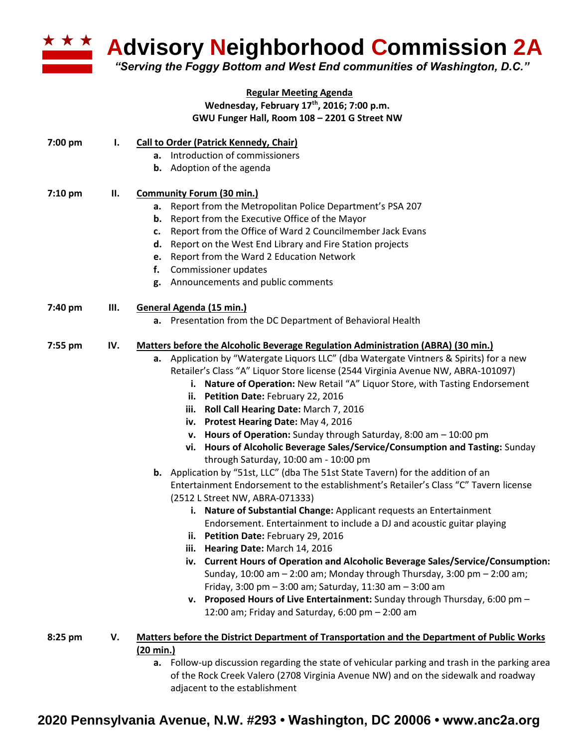

**Advisory Neighborhood Commission 2A** 

*"Serving the Foggy Bottom and West End communities of Washington, D.C."*

## **Regular Meeting Agenda Wednesday, February 17th, 2016; 7:00 p.m. GWU Funger Hall, Room 108 – 2201 G Street NW**

| 7:00 pm | I.   | <b>Call to Order (Patrick Kennedy, Chair)</b><br>Introduction of commissioners                     |
|---------|------|----------------------------------------------------------------------------------------------------|
|         |      | а.<br><b>b.</b> Adoption of the agenda                                                             |
|         |      |                                                                                                    |
| 7:10 pm | П.   | <b>Community Forum (30 min.)</b>                                                                   |
|         |      | Report from the Metropolitan Police Department's PSA 207<br>а.                                     |
|         |      | Report from the Executive Office of the Mayor<br>b.                                                |
|         |      | Report from the Office of Ward 2 Councilmember Jack Evans<br>c.                                    |
|         |      | Report on the West End Library and Fire Station projects<br>d.                                     |
|         |      | Report from the Ward 2 Education Network<br>e.                                                     |
|         |      | Commissioner updates<br>f.                                                                         |
|         |      | Announcements and public comments<br>g.                                                            |
| 7:40 pm | III. | General Agenda (15 min.)                                                                           |
|         |      | a. Presentation from the DC Department of Behavioral Health                                        |
| 7:55 pm | IV.  | Matters before the Alcoholic Beverage Regulation Administration (ABRA) (30 min.)                   |
|         |      | a. Application by "Watergate Liquors LLC" (dba Watergate Vintners & Spirits) for a new             |
|         |      | Retailer's Class "A" Liquor Store license (2544 Virginia Avenue NW, ABRA-101097)                   |
|         |      | i. Nature of Operation: New Retail "A" Liquor Store, with Tasting Endorsement                      |
|         |      | Petition Date: February 22, 2016<br>ii.                                                            |
|         |      | iii. Roll Call Hearing Date: March 7, 2016                                                         |
|         |      | iv. Protest Hearing Date: May 4, 2016                                                              |
|         |      | Hours of Operation: Sunday through Saturday, 8:00 am - 10:00 pm<br>v.                              |
|         |      | vi. Hours of Alcoholic Beverage Sales/Service/Consumption and Tasting: Sunday                      |
|         |      | through Saturday, 10:00 am - 10:00 pm                                                              |
|         |      | b. Application by "51st, LLC" (dba The 51st State Tavern) for the addition of an                   |
|         |      | Entertainment Endorsement to the establishment's Retailer's Class "C" Tavern license               |
|         |      | (2512 L Street NW, ABRA-071333)                                                                    |
|         |      | Nature of Substantial Change: Applicant requests an Entertainment<br>i.                            |
|         |      | Endorsement. Entertainment to include a DJ and acoustic guitar playing                             |
|         |      | ii. Petition Date: February 29, 2016                                                               |
|         |      | iii. Hearing Date: March 14, 2016                                                                  |
|         |      | iv. Current Hours of Operation and Alcoholic Beverage Sales/Service/Consumption:                   |
|         |      | Sunday, $10:00$ am $- 2:00$ am; Monday through Thursday, $3:00$ pm $- 2:00$ am;                    |
|         |      | Friday, 3:00 pm - 3:00 am; Saturday, 11:30 am - 3:00 am                                            |
|         |      | v. Proposed Hours of Live Entertainment: Sunday through Thursday, 6:00 pm -                        |
|         |      | 12:00 am; Friday and Saturday, 6:00 pm - 2:00 am                                                   |
| 8:25 pm | V.   | <b>Matters before the District Department of Transportation and the Department of Public Works</b> |
|         |      | (20 min.)                                                                                          |
|         |      | a. Follow-up discussion regarding the state of vehicular parking and trash in the parking area     |
|         |      | of the Rock Creek Valero (2708 Virginia Avenue NW) and on the sidewalk and roadway                 |
|         |      | adjacent to the establishment                                                                      |